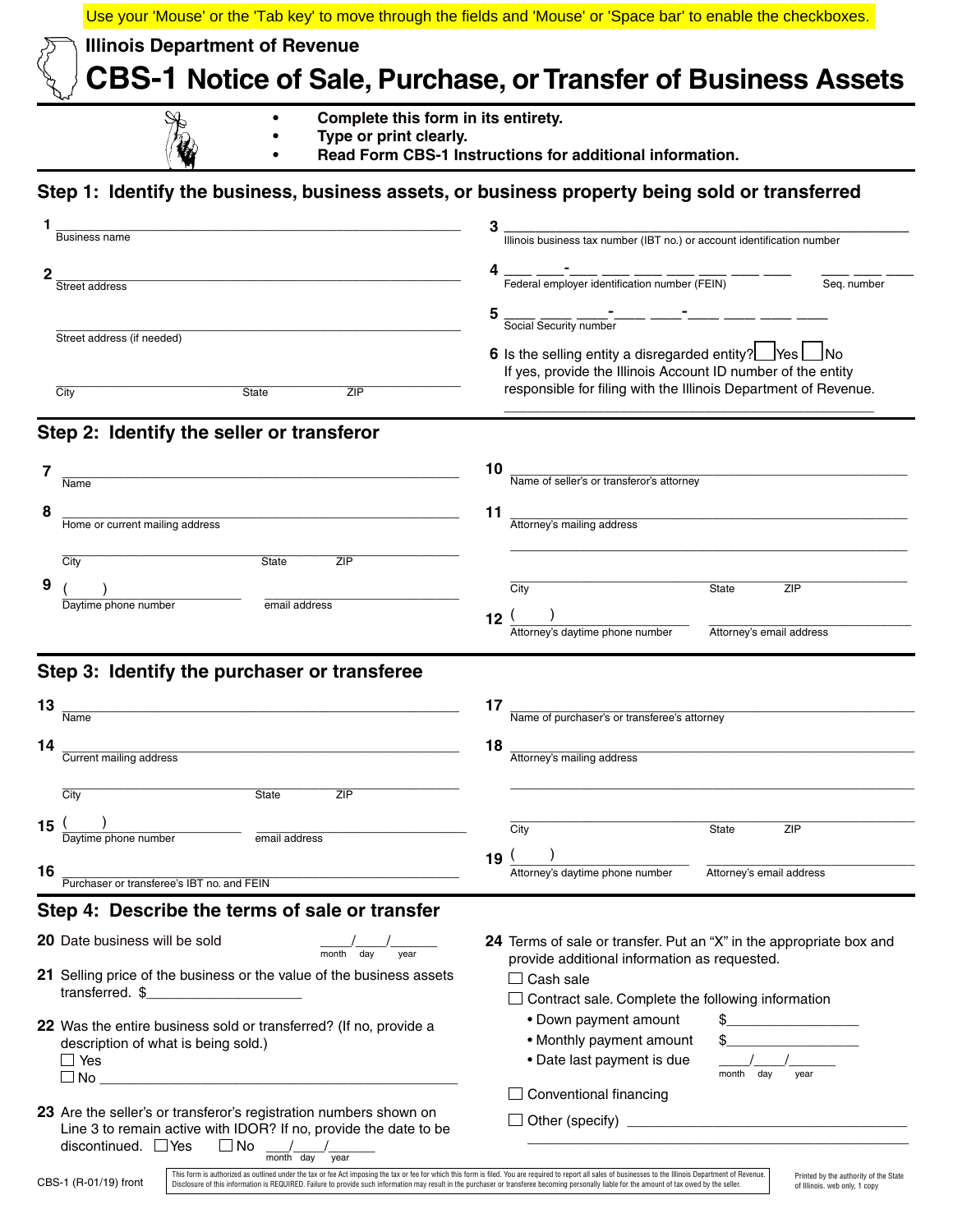|                                                                                                                                                                                                                         | Use your 'Mouse' or the 'Tab key' to move through the fields and 'Mouse' or 'Space bar' to enable the checkboxes.                                                                                            |
|-------------------------------------------------------------------------------------------------------------------------------------------------------------------------------------------------------------------------|--------------------------------------------------------------------------------------------------------------------------------------------------------------------------------------------------------------|
| <b>Illinois Department of Revenue</b>                                                                                                                                                                                   |                                                                                                                                                                                                              |
|                                                                                                                                                                                                                         | <b>CBS-1 Notice of Sale, Purchase, or Transfer of Business Assets</b>                                                                                                                                        |
| Complete this form in its entirety.<br>Type or print clearly.                                                                                                                                                           | Read Form CBS-1 Instructions for additional information.                                                                                                                                                     |
|                                                                                                                                                                                                                         |                                                                                                                                                                                                              |
| Step 1: Identify the business, business assets, or business property being sold or transferred                                                                                                                          |                                                                                                                                                                                                              |
| Business name                                                                                                                                                                                                           | Illinois business tax number (IBT no.) or account identification number                                                                                                                                      |
|                                                                                                                                                                                                                         |                                                                                                                                                                                                              |
| 2<br>Street address                                                                                                                                                                                                     | Seq. number                                                                                                                                                                                                  |
|                                                                                                                                                                                                                         | $\frac{1}{\text{Social Security number}}$<br>5                                                                                                                                                               |
| Street address (if needed)                                                                                                                                                                                              |                                                                                                                                                                                                              |
|                                                                                                                                                                                                                         | 6 Is the selling entity a disregarded entity?   Yes   No<br>If yes, provide the Illinois Account ID number of the entity                                                                                     |
| City<br>State<br>ZIP                                                                                                                                                                                                    | responsible for filing with the Illinois Department of Revenue.                                                                                                                                              |
|                                                                                                                                                                                                                         |                                                                                                                                                                                                              |
| Step 2: Identify the seller or transferor                                                                                                                                                                               |                                                                                                                                                                                                              |
| 7                                                                                                                                                                                                                       | 10<br>Name of seller's or transferor's attorney                                                                                                                                                              |
| Name                                                                                                                                                                                                                    |                                                                                                                                                                                                              |
| 8<br>Home or current mailing address                                                                                                                                                                                    | 11<br>Attorney's mailing address                                                                                                                                                                             |
|                                                                                                                                                                                                                         |                                                                                                                                                                                                              |
| City<br>ZIP<br>State                                                                                                                                                                                                    |                                                                                                                                                                                                              |
| 9                                                                                                                                                                                                                       | City<br>ZIP<br><b>State</b>                                                                                                                                                                                  |
| Daytime phone number<br>email address                                                                                                                                                                                   | 12 <sub>2</sub>                                                                                                                                                                                              |
|                                                                                                                                                                                                                         | Attorney's daytime phone number<br>Attorney's email address                                                                                                                                                  |
| Step 3: Identify the purchaser or transferee                                                                                                                                                                            |                                                                                                                                                                                                              |
|                                                                                                                                                                                                                         |                                                                                                                                                                                                              |
| 13<br>Name                                                                                                                                                                                                              | 17<br>Name of purchaser's or transferee's attorney                                                                                                                                                           |
| 14                                                                                                                                                                                                                      | 18                                                                                                                                                                                                           |
| Current mailing address                                                                                                                                                                                                 | Attorney's mailing address                                                                                                                                                                                   |
| City<br>ZIP<br>State                                                                                                                                                                                                    |                                                                                                                                                                                                              |
| 15 $1$                                                                                                                                                                                                                  | City<br>ZIP                                                                                                                                                                                                  |
| $\overline{\overset{\cdot}{\text{Daytime}}$ phone number<br>email address                                                                                                                                               | State                                                                                                                                                                                                        |
| 16                                                                                                                                                                                                                      | 19 $1$<br>Attorney's daytime phone number<br>Attorney's email address                                                                                                                                        |
| Purchaser or transferee's IBT no. and FEIN                                                                                                                                                                              |                                                                                                                                                                                                              |
| Step 4: Describe the terms of sale or transfer                                                                                                                                                                          |                                                                                                                                                                                                              |
| 20 Date business will be sold<br>$\frac{1}{\text{month}}$ day                                                                                                                                                           | 24 Terms of sale or transfer. Put an "X" in the appropriate box and                                                                                                                                          |
| 21 Selling price of the business or the value of the business assets                                                                                                                                                    | provide additional information as requested.<br>$\Box$ Cash sale                                                                                                                                             |
| transferred. $\frac{1}{2}$                                                                                                                                                                                              | $\Box$ Contract sale. Complete the following information                                                                                                                                                     |
| 22 Was the entire business sold or transferred? (If no, provide a                                                                                                                                                       | • Down payment amount<br>$\frac{1}{2}$                                                                                                                                                                       |
| description of what is being sold.)                                                                                                                                                                                     | • Monthly payment amount                                                                                                                                                                                     |
| $\Box$ Yes<br>$\Box$ No $\Box$                                                                                                                                                                                          | • Date last payment is due<br>month day<br>year                                                                                                                                                              |
|                                                                                                                                                                                                                         | $\Box$ Conventional financing                                                                                                                                                                                |
| 23 Are the seller's or transferor's registration numbers shown on<br>Line 3 to remain active with IDOR? If no, provide the date to be<br>discontinued. $\Box$ Yes<br>$\Box$ No                                          |                                                                                                                                                                                                              |
| month day                                                                                                                                                                                                               | This form is authorized as outlined under the tax or fee Act imposing the tax or fee for which this form is filed. You are required to report all sales of businesses to the Illinois Department of Revenue. |
| CBS-1 (R-01/19) front<br>Disclosure of this information is REQUIRED. Failure to provide such information may result in the purchaser or transferee becoming personally liable for the amount of tax owed by the seller. | Printed by the authority of the State<br>of Illinois. web only, 1 copy                                                                                                                                       |